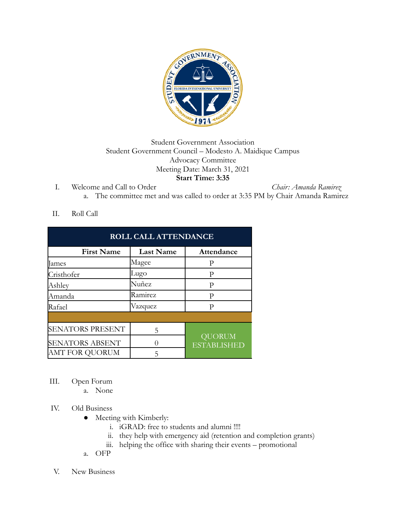

## Student Government Association Student Government Council – Modesto A. Maidique Campus Advocacy Committee Meeting Date: March 31, 2021 **Start Time: 3:35**

I. Welcome and Call to Order *Chair: Amanda Ramirez* a. The committee met and was called to order at 3:35 PM by Chair Amanda Ramirez

## II. Roll Call

| <b>ROLL CALL ATTENDANCE</b> |                  |                                     |
|-----------------------------|------------------|-------------------------------------|
| <b>First Name</b>           | <b>Last Name</b> | Attendance                          |
| lames                       | Magee            | P                                   |
| Cristhofer                  | Lugo             | Р                                   |
| Ashley                      | Nuñez            | Р                                   |
| Amanda                      | Ramirez          | P                                   |
| Rafael                      | Vazquez          | P                                   |
|                             |                  |                                     |
| <b>SENATORS PRESENT</b>     | 5                | <b>QUORUM</b><br><b>ESTABLISHED</b> |
| <b>SENATORS ABSENT</b>      | $\left( \right)$ |                                     |
| AMT FOR QUORUM              | 5                |                                     |

- III. Open Forum
	- a. None

## IV. Old Business

- Meeting with Kimberly:
	- i. iGRAD: free to students and alumni !!!!
	- ii. they help with emergency aid (retention and completion grants)
	- iii. helping the office with sharing their events promotional
- a. OFP
- V. New Business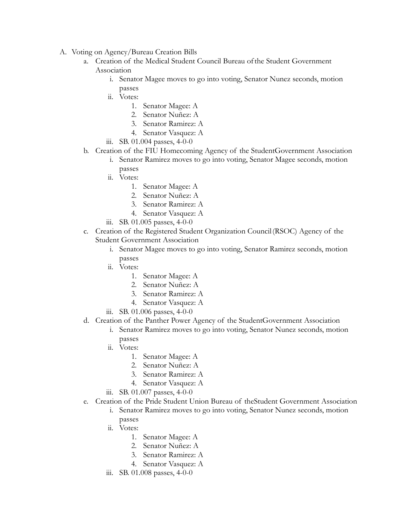- A. Voting on Agency/Bureau Creation Bills
	- a. Creation of the Medical Student Council Bureau ofthe Student Government Association
		- i. Senator Magee moves to go into voting, Senator Nunez seconds, motion passes
		- ii. Votes:
			- 1. Senator Magee: A
			- 2. Senator Nuñez: A
			- 3. Senator Ramirez: A
			- 4. Senator Vasquez: A
		- iii. SB. 01.004 passes, 4-0-0
	- b. Creation of the FIU Homecoming Agency of the StudentGovernment Association
		- i. Senator Ramirez moves to go into voting, Senator Magee seconds, motion passes
		- ii. Votes:
			- 1. Senator Magee: A
			- 2. Senator Nuñez: A
			- 3. Senator Ramirez: A
			- 4. Senator Vasquez: A
		- iii. SB. 01.005 passes, 4-0-0
	- c. Creation of the Registered Student Organization Council(RSOC) Agency of the Student Government Association
		- i. Senator Magee moves to go into voting, Senator Ramirez seconds, motion passes
		- ii. Votes:
			- 1. Senator Magee: A
			- 2. Senator Nuñez: A
			- 3. Senator Ramirez: A
			- 4. Senator Vasquez: A
		- iii. SB. 01.006 passes, 4-0-0
	- d. Creation of the Panther Power Agency of the StudentGovernment Association
		- i. Senator Ramirez moves to go into voting, Senator Nunez seconds, motion passes
		- ii. Votes:
			- 1. Senator Magee: A
			- 2. Senator Nuñez: A
			- 3. Senator Ramirez: A
			- 4. Senator Vasquez: A
		- iii. SB. 01.007 passes, 4-0-0
	- e. Creation of the Pride Student Union Bureau of theStudent Government Association
		- i. Senator Ramirez moves to go into voting, Senator Nunez seconds, motion passes
		- ii. Votes:
			- 1. Senator Magee: A
			- 2. Senator Nuñez: A
			- 3. Senator Ramirez: A
			- 4. Senator Vasquez: A
		- iii. SB. 01.008 passes, 4-0-0